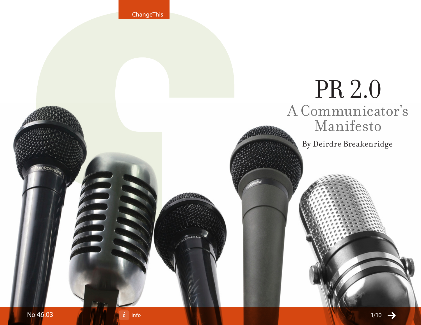ChangeThis

# PR 2.0 A Communicator's Manifesto By Deirdre Breakenridge HON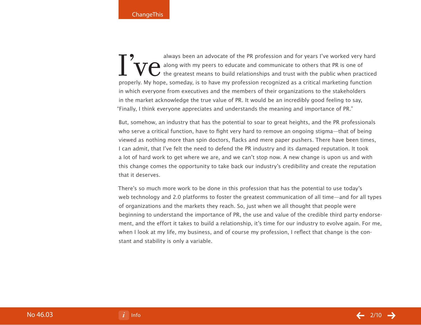always been an advocate of the PR profession and for years I've worked very hard<br> **THE** along with my peers to educate and communicate to others that PR is one of<br>
the greatest means to build relationships and trust with t along with my peers to educate and communicate to others that PR is one of the greatest means to build relationships and trust with the public when practiced properly. My hope, someday, is to have my profession recognized as a critical marketing function in which everyone from executives and the members of their organizations to the stakeholders in the market acknowledge the true value of PR. It would be an incredibly good feeling to say, "Finally, I think everyone appreciates and understands the meaning and importance of PR."

But, somehow, an industry that has the potential to soar to great heights, and the PR professionals who serve a critical function, have to fight very hard to remove an ongoing stigma—that of being viewed as nothing more than spin doctors, flacks and mere paper pushers. There have been times, I can admit, that I've felt the need to defend the PR industry and its damaged reputation. It took a lot of hard work to get where we are, and we can't stop now. A new change is upon us and with this change comes the opportunity to take back our industry's credibility and create the reputation that it deserves.

There's so much more work to be done in this profession that has the potential to use today's web technology and 2.0 platforms to foster the greatest communication of all time—and for all types of organizations and the markets they reach. So, just when we all thought that people were beginning to understand the importance of PR, the use and value of the credible third party endorsement, and the effort it takes to build a relationship, it's time for our industry to evolve again. For me, when I look at my life, my business, and of course my profession, I reflect that change is the constant and stability is only a variable.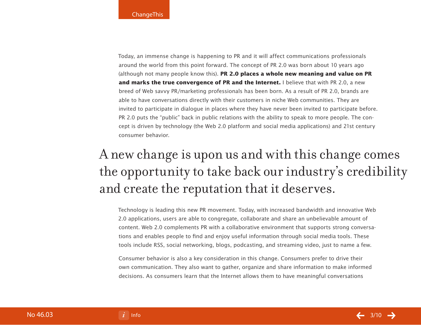Today, an immense change is happening to PR and it will affect communications professionals around the world from this point forward. The concept of PR 2.0 was born about 10 years ago (although not many people know this). **PR 2.0 places a whole new meaning and value on PR and marks the true convergence of PR and the Internet.** I believe that with PR 2.0, a new breed of Web savvy PR/marketing professionals has been born. As a result of PR 2.0, brands are able to have conversations directly with their customers in niche Web communities. They are invited to participate in dialogue in places where they have never been invited to participate before. PR 2.0 puts the "public" back in public relations with the ability to speak to more people. The concept is driven by technology (the Web 2.0 platform and social media applications) and 21st century consumer behavior.

# A new change is upon us and with this change comes the opportunity to take back our industry's credibility and create the reputation that it deserves.

Technology is leading this new PR movement. Today, with increased bandwidth and innovative Web 2.0 applications, users are able to congregate, collaborate and share an unbelievable amount of content. Web 2.0 complements PR with a collaborative environment that supports strong conversations and enables people to find and enjoy useful information through social media tools. These tools include RSS, social networking, blogs, podcasting, and streaming video, just to name a few.

Consumer behavior is also a key consideration in this change. Consumers prefer to drive their own communication. They also want to gather, organize and share information to make informed decisions. As consumers learn that the Internet allows them to have meaningful conversations

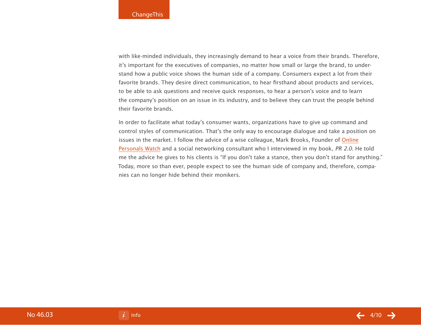with like-minded individuals, they increasingly demand to hear a voice from their brands. Therefore, it's important for the executives of companies, no matter how small or large the brand, to understand how a public voice shows the human side of a company. Consumers expect a lot from their favorite brands. They desire direct communication, to hear firsthand about products and services, to be able to ask questions and receive quick responses, to hear a person's voice and to learn the company's position on an issue in its industry, and to believe they can trust the people behind their favorite brands.

In order to facilitate what today's consumer wants, organizations have to give up command and control styles of communication. That's the only way to encourage dialogue and take a position on issues in the market. I follow the advice of a wise colleague, Mark Brooks, Founder of [Online](http://www.onlinepersonalswatch.com) [Personals Watch](http://www.onlinepersonalswatch.com) and a social networking consultant who I interviewed in my book, PR 2.0. He told me the advice he gives to his clients is "If you don't take a stance, then you don't stand for anything." Today, more so than ever, people expect to see the human side of company and, therefore, companies can no longer hide behind their monikers.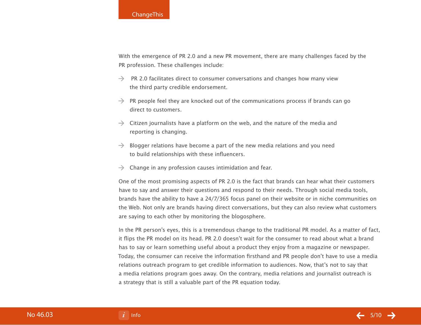With the emergence of PR 2.0 and a new PR movement, there are many challenges faced by the PR profession. These challenges include:

- $\rightarrow$  PR 2.0 facilitates direct to consumer conversations and changes how many view the third party credible endorsement.
- $\rightarrow$  PR people feel they are knocked out of the communications process if brands can go direct to customers.
- $\rightarrow$  Citizen journalists have a platform on the web, and the nature of the media and reporting is changing.
- $\rightarrow$  Blogger relations have become a part of the new media relations and you need to build relationships with these influencers.
- $\rightarrow$  Change in any profession causes intimidation and fear.

One of the most promising aspects of PR 2.0 is the fact that brands can hear what their customers have to say and answer their questions and respond to their needs. Through social media tools, brands have the ability to have a 24/7/365 focus panel on their website or in niche communities on the Web. Not only are brands having direct conversations, but they can also review what customers are saying to each other by monitoring the blogosphere.

In the PR person's eyes, this is a tremendous change to the traditional PR model. As a matter of fact, it flips the PR model on its head. PR 2.0 doesn't wait for the consumer to read about what a brand has to say or learn something useful about a product they enjoy from a magazine or newspaper. Today, the consumer can receive the information firsthand and PR people don't have to use a media relations outreach program to get credible information to audiences. Now, that's not to say that a media relations program goes away. On the contrary, media relations and journalist outreach is a strategy that is still a valuable part of the PR equation today.

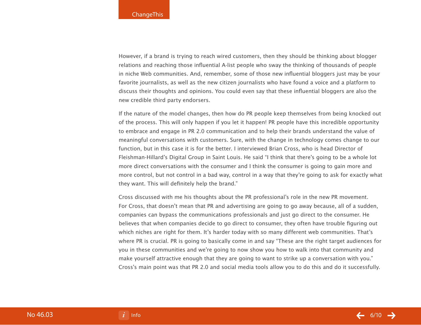However, if a brand is trying to reach wired customers, then they should be thinking about blogger relations and reaching those influential A-list people who sway the thinking of thousands of people in niche Web communities. And, remember, some of those new influential bloggers just may be your favorite journalists, as well as the new citizen journalists who have found a voice and a platform to discuss their thoughts and opinions. You could even say that these influential bloggers are also the new credible third party endorsers.

If the nature of the model changes, then how do PR people keep themselves from being knocked out of the process. This will only happen if you let it happen! PR people have this incredible opportunity to embrace and engage in PR 2.0 communication and to help their brands understand the value of meaningful conversations with customers. Sure, with the change in technology comes change to our function, but in this case it is for the better. I interviewed Brian Cross, who is head Director of Fleishman-Hillard's Digital Group in Saint Louis. He said "I think that there's going to be a whole lot more direct conversations with the consumer and I think the consumer is going to gain more and more control, but not control in a bad way, control in a way that they're going to ask for exactly what they want. This will definitely help the brand."

Cross discussed with me his thoughts about the PR professional's role in the new PR movement. For Cross, that doesn't mean that PR and advertising are going to go away because, all of a sudden, companies can bypass the communications professionals and just go direct to the consumer. He believes that when companies decide to go direct to consumer, they often have trouble figuring out which niches are right for them. It's harder today with so many different web communities. That's where PR is crucial. PR is going to basically come in and say "These are the right target audiences for you in these communities and we're going to now show you how to walk into that community and make yourself attractive enough that they are going to want to strike up a conversation with you." Cross's main point was that PR 2.0 and social media tools allow you to do this and do it successfully.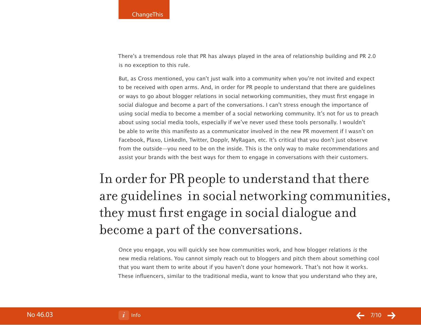There's a tremendous role that PR has always played in the area of relationship building and PR 2.0 is no exception to this rule.

But, as Cross mentioned, you can't just walk into a community when you're not invited and expect to be received with open arms. And, in order for PR people to understand that there are guidelines or ways to go about blogger relations in social networking communities, they must first engage in social dialogue and become a part of the conversations. I can't stress enough the importance of using social media to become a member of a social networking community. It's not for us to preach about using social media tools, especially if we've never used these tools personally. I wouldn't be able to write this manifesto as a communicator involved in the new PR movement if I wasn't on Facebook, Plaxo, LinkedIn, Twitter, Dopplr, MyRagan, etc. It's critical that you don't just observe from the outside—you need to be on the inside. This is the only way to make recommendations and assist your brands with the best ways for them to engage in conversations with their customers.

# In order for PR people to understand that there are guidelines in social networking communities, they must first engage in social dialogue and become a part of the conversations.

Once you engage, you will quickly see how communities work, and how blogger relations is the new media relations. You cannot simply reach out to bloggers and pitch them about something cool that you want them to write about if you haven't done your homework. That's not how it works. These influencers, similar to the traditional media, want to know that you understand who they are,

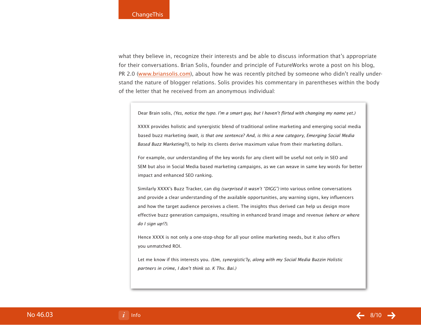what they believe in, recognize their interests and be able to discuss information that's appropriate for their conversations. Brian Solis, founder and principle of FutureWorks wrote a post on his blog, PR 2.0 [\(www.briansolis.com](http://www.briansolis.com)), about how he was recently pitched by someone who didn't really understand the nature of blogger relations. Solis provides his commentary in parentheses within the body of the letter that he received from an anonymous individual:

Dear Brain solis, (Yes, notice the typo. I'm a smart guy, but I haven't flirted with changing my name yet.)

XXXX provides holistic and synergistic blend of traditional online marketing and emerging social media based buzz marketing (wait, is that one sentence? And, is this a new category, Emerging Social Media Based Buzz Marketing?!), to help its clients derive maximum value from their marketing dollars.

For example, our understanding of the key words for any client will be useful not only in SEO and SEM but also in Social Media based marketing campaigns, as we can weave in same key words for better impact and enhanced SEO ranking.

Similarly XXXX's Buzz Tracker, can dig (surprised it wasn't "DIGG") into various online conversations and provide a clear understanding of the available opportunities, any warning signs, key influencers and how the target audience perceives a client. The insights thus derived can help us design more effective buzz generation campaigns, resulting in enhanced brand image and revenue (where or where do I sign up!?).

Hence XXXX is not only a one-stop-shop for all your online marketing needs, but it also offers you unmatched ROI.

Let me know if this interests you. (Um, synergistic'ly, along with my Social Media Buzzin Holistic partners in crime, I don't think so. K Thx. Bai.)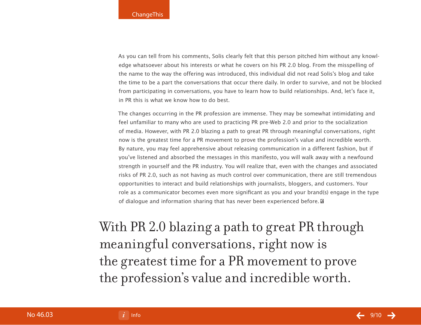As you can tell from his comments, Solis clearly felt that this person pitched him without any knowledge whatsoever about his interests or what he covers on his PR 2.0 blog. From the misspelling of the name to the way the offering was introduced, this individual did not read Solis's blog and take the time to be a part the conversations that occur there daily. In order to survive, and not be blocked from participating in conversations, you have to learn how to build relationships. And, let's face it, in PR this is what we know how to do best.

The changes occurring in the PR profession are immense. They may be somewhat intimidating and feel unfamiliar to many who are used to practicing PR pre-Web 2.0 and prior to the socialization of media. However, with PR 2.0 blazing a path to great PR through meaningful conversations, right now is the greatest time for a PR movement to prove the profession's value and incredible worth. By nature, you may feel apprehensive about releasing communication in a different fashion, but if you've listened and absorbed the messages in this manifesto, you will walk away with a newfound strength in yourself and the PR industry. You will realize that, even with the changes and associated risks of PR 2.0, such as not having as much control over communication, there are still tremendous opportunities to interact and build relationships with journalists, bloggers, and customers. Your role as a communicator becomes even more significant as you and your brand(s) engage in the type of dialogue and information sharing that has never been experienced before.

With PR 2.0 blazing a path to great PR through meaningful conversations, right now is the greatest time for a PR movement to prove the profession's value and incredible worth.